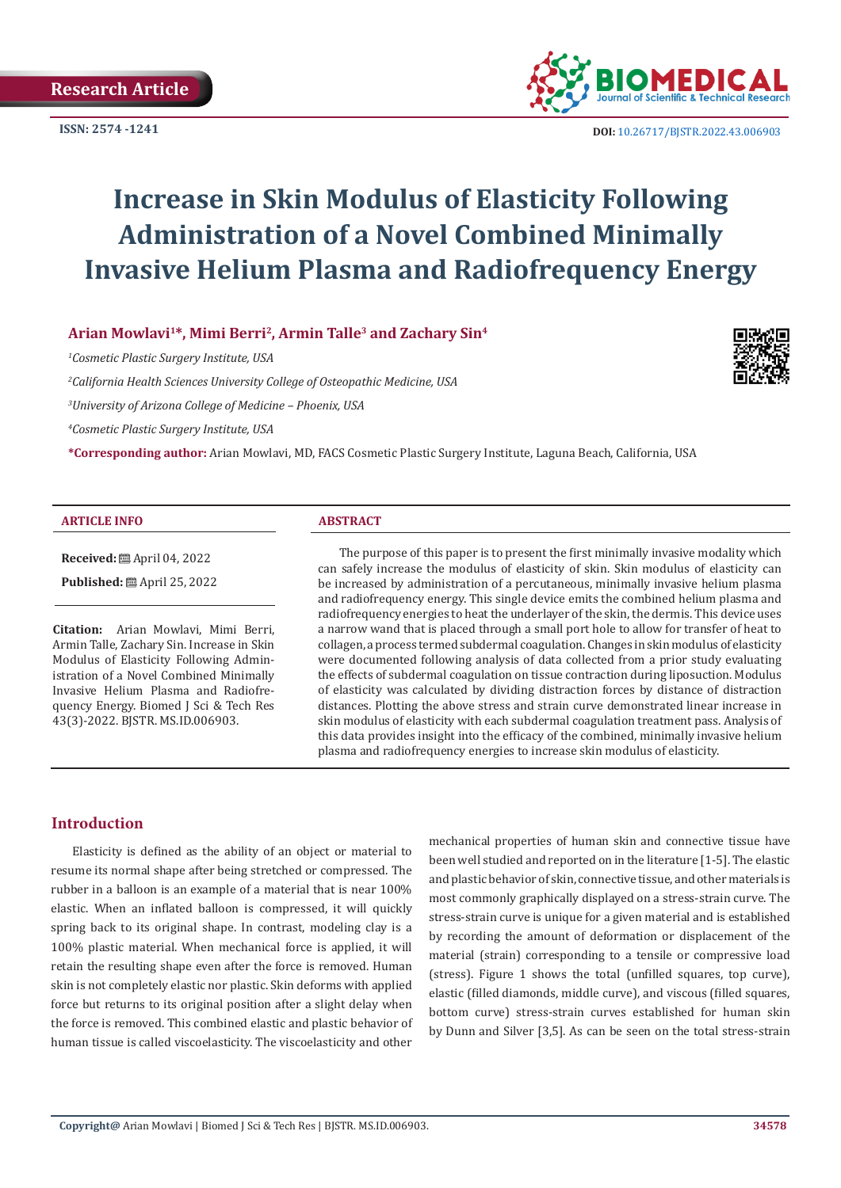

**ISSN:** 2574 -1241 **DOI:** [10.26717/BJSTR.2022.43.006903](https://dx.doi.org/10.26717/BJSTR.2022.43.006903)

# **Increase in Skin Modulus of Elasticity Following Administration of a Novel Combined Minimally Invasive Helium Plasma and Radiofrequency Energy**

**Arian Mowlavi1\*, Mimi Berri2, Armin Talle3 and Zachary Sin4**

*1 Cosmetic Plastic Surgery Institute, USA*

*2 California Health Sciences University College of Osteopathic Medicine, USA*

*3 University of Arizona College of Medicine – Phoenix, USA*

*4 Cosmetic Plastic Surgery Institute, USA*

**\*Corresponding author:** Arian Mowlavi, MD, FACS Cosmetic Plastic Surgery Institute, Laguna Beach, California, USA

#### **ARTICLE INFO ABSTRACT**

**Received:** April 04, 2022

**Published:** ■ April 25, 2022

**Citation:** Arian Mowlavi, Mimi Berri, Armin Talle, Zachary Sin. Increase in Skin Modulus of Elasticity Following Administration of a Novel Combined Minimally Invasive Helium Plasma and Radiofrequency Energy. Biomed J Sci & Tech Res 43(3)-2022. BJSTR. MS.ID.006903.

The purpose of this paper is to present the first minimally invasive modality which can safely increase the modulus of elasticity of skin. Skin modulus of elasticity can be increased by administration of a percutaneous, minimally invasive helium plasma and radiofrequency energy. This single device emits the combined helium plasma and radiofrequency energies to heat the underlayer of the skin, the dermis. This device uses a narrow wand that is placed through a small port hole to allow for transfer of heat to collagen, a process termed subdermal coagulation. Changes in skin modulus of elasticity were documented following analysis of data collected from a prior study evaluating the effects of subdermal coagulation on tissue contraction during liposuction. Modulus of elasticity was calculated by dividing distraction forces by distance of distraction distances. Plotting the above stress and strain curve demonstrated linear increase in skin modulus of elasticity with each subdermal coagulation treatment pass. Analysis of this data provides insight into the efficacy of the combined, minimally invasive helium plasma and radiofrequency energies to increase skin modulus of elasticity.

# **Introduction**

Elasticity is defined as the ability of an object or material to resume its normal shape after being stretched or compressed. The rubber in a balloon is an example of a material that is near 100% elastic. When an inflated balloon is compressed, it will quickly spring back to its original shape. In contrast, modeling clay is a 100% plastic material. When mechanical force is applied, it will retain the resulting shape even after the force is removed. Human skin is not completely elastic nor plastic. Skin deforms with applied force but returns to its original position after a slight delay when the force is removed. This combined elastic and plastic behavior of human tissue is called viscoelasticity. The viscoelasticity and other

mechanical properties of human skin and connective tissue have been well studied and reported on in the literature [1-5]. The elastic and plastic behavior of skin, connective tissue, and other materials is most commonly graphically displayed on a stress-strain curve. The stress-strain curve is unique for a given material and is established by recording the amount of deformation or displacement of the material (strain) corresponding to a tensile or compressive load (stress). Figure 1 shows the total (unfilled squares, top curve), elastic (filled diamonds, middle curve), and viscous (filled squares, bottom curve) stress-strain curves established for human skin by Dunn and Silver [3,5]. As can be seen on the total stress-strain

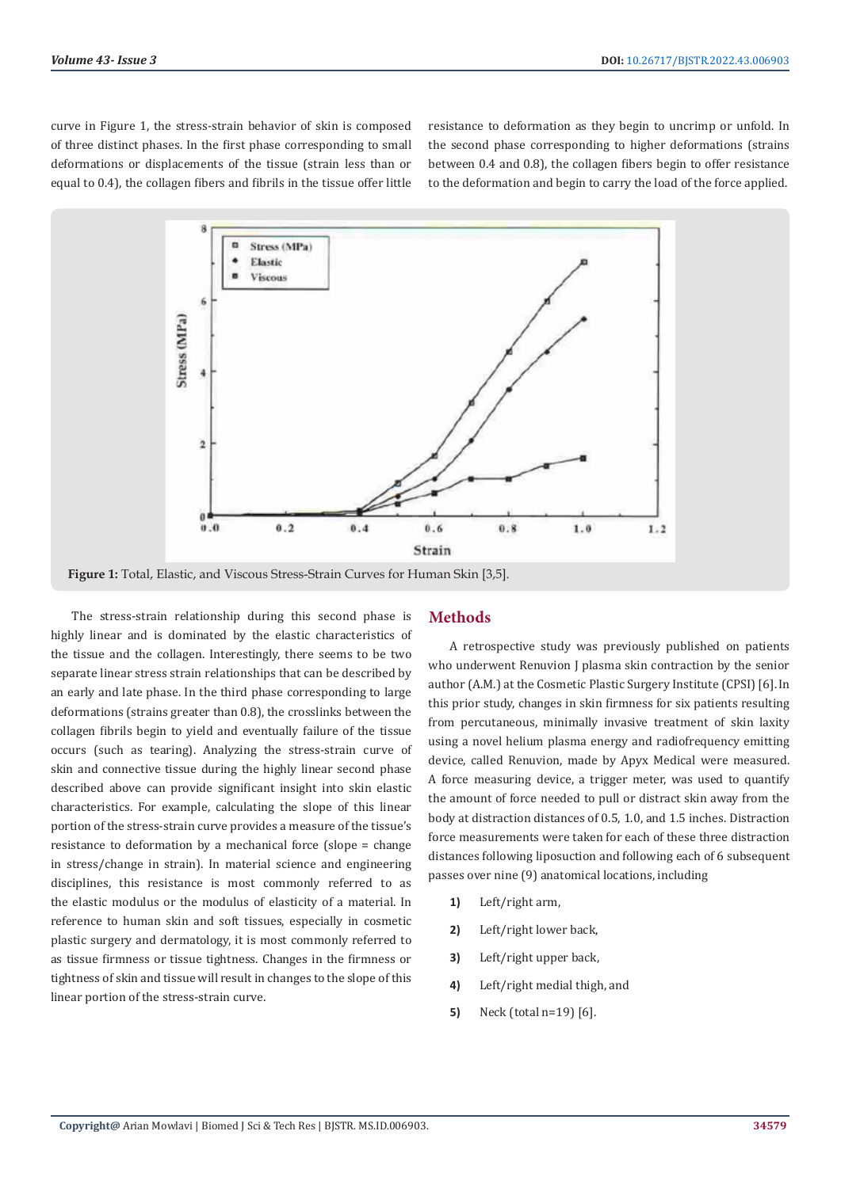curve in Figure 1, the stress-strain behavior of skin is composed of three distinct phases. In the first phase corresponding to small deformations or displacements of the tissue (strain less than or equal to 0.4), the collagen fibers and fibrils in the tissue offer little

resistance to deformation as they begin to uncrimp or unfold. In the second phase corresponding to higher deformations (strains between 0.4 and 0.8), the collagen fibers begin to offer resistance to the deformation and begin to carry the load of the force applied.



**Figure 1:** Total, Elastic, and Viscous Stress-Strain Curves for Human Skin [3,5].

The stress-strain relationship during this second phase is highly linear and is dominated by the elastic characteristics of the tissue and the collagen. Interestingly, there seems to be two separate linear stress strain relationships that can be described by an early and late phase. In the third phase corresponding to large deformations (strains greater than 0.8), the crosslinks between the collagen fibrils begin to yield and eventually failure of the tissue occurs (such as tearing). Analyzing the stress-strain curve of skin and connective tissue during the highly linear second phase described above can provide significant insight into skin elastic characteristics. For example, calculating the slope of this linear portion of the stress-strain curve provides a measure of the tissue's resistance to deformation by a mechanical force (slope = change in stress/change in strain). In material science and engineering disciplines, this resistance is most commonly referred to as the elastic modulus or the modulus of elasticity of a material. In reference to human skin and soft tissues, especially in cosmetic plastic surgery and dermatology, it is most commonly referred to as tissue firmness or tissue tightness. Changes in the firmness or tightness of skin and tissue will result in changes to the slope of this linear portion of the stress-strain curve.

## **Methods**

A retrospective study was previously published on patients who underwent Renuvion J plasma skin contraction by the senior author (A.M.) at the Cosmetic Plastic Surgery Institute (CPSI) [6].In this prior study, changes in skin firmness for six patients resulting from percutaneous, minimally invasive treatment of skin laxity using a novel helium plasma energy and radiofrequency emitting device, called Renuvion, made by Apyx Medical were measured. A force measuring device, a trigger meter, was used to quantify the amount of force needed to pull or distract skin away from the body at distraction distances of 0.5, 1.0, and 1.5 inches. Distraction force measurements were taken for each of these three distraction distances following liposuction and following each of 6 subsequent passes over nine (9) anatomical locations, including

- **1)** Left/right arm,
- **2)** Left/right lower back,
- **3)** Left/right upper back,
- **4)** Left/right medial thigh, and
- **5)** Neck (total n=19) [6].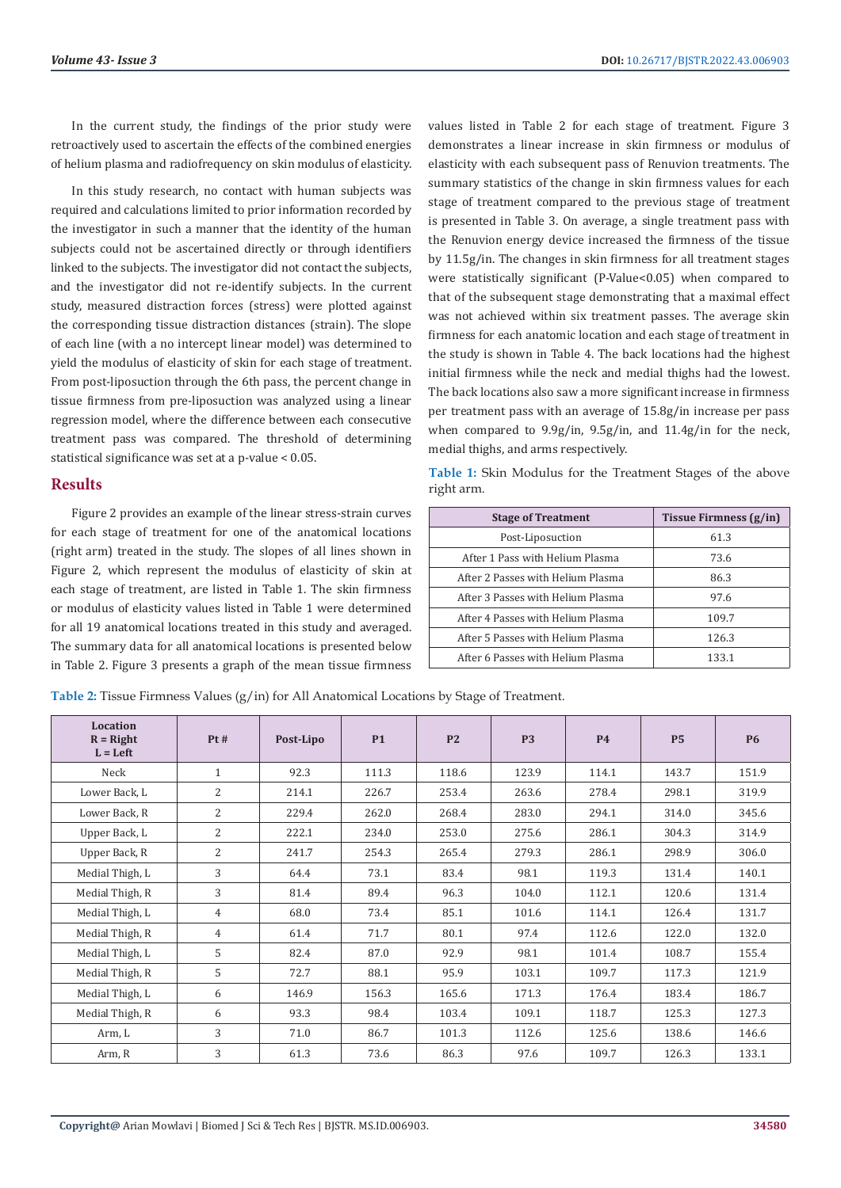In the current study, the findings of the prior study were retroactively used to ascertain the effects of the combined energies of helium plasma and radiofrequency on skin modulus of elasticity.

In this study research, no contact with human subjects was required and calculations limited to prior information recorded by the investigator in such a manner that the identity of the human subjects could not be ascertained directly or through identifiers linked to the subjects. The investigator did not contact the subjects, and the investigator did not re-identify subjects. In the current study, measured distraction forces (stress) were plotted against the corresponding tissue distraction distances (strain). The slope of each line (with a no intercept linear model) was determined to yield the modulus of elasticity of skin for each stage of treatment. From post-liposuction through the 6th pass, the percent change in tissue firmness from pre-liposuction was analyzed using a linear regression model, where the difference between each consecutive treatment pass was compared. The threshold of determining statistical significance was set at a p-value < 0.05.

# **Results**

Figure 2 provides an example of the linear stress-strain curves for each stage of treatment for one of the anatomical locations (right arm) treated in the study. The slopes of all lines shown in Figure 2, which represent the modulus of elasticity of skin at each stage of treatment, are listed in Table 1. The skin firmness or modulus of elasticity values listed in Table 1 were determined for all 19 anatomical locations treated in this study and averaged. The summary data for all anatomical locations is presented below in Table 2. Figure 3 presents a graph of the mean tissue firmness values listed in Table 2 for each stage of treatment. Figure 3 demonstrates a linear increase in skin firmness or modulus of elasticity with each subsequent pass of Renuvion treatments. The summary statistics of the change in skin firmness values for each stage of treatment compared to the previous stage of treatment is presented in Table 3. On average, a single treatment pass with the Renuvion energy device increased the firmness of the tissue by 11.5g/in. The changes in skin firmness for all treatment stages were statistically significant (P-Value<0.05) when compared to that of the subsequent stage demonstrating that a maximal effect was not achieved within six treatment passes. The average skin firmness for each anatomic location and each stage of treatment in the study is shown in Table 4. The back locations had the highest initial firmness while the neck and medial thighs had the lowest. The back locations also saw a more significant increase in firmness per treatment pass with an average of 15.8g/in increase per pass when compared to 9.9g/in, 9.5g/in, and 11.4g/in for the neck, medial thighs, and arms respectively.

|            |  |  | Table 1: Skin Modulus for the Treatment Stages of the above |  |  |
|------------|--|--|-------------------------------------------------------------|--|--|
| right arm. |  |  |                                                             |  |  |

| <b>Stage of Treatment</b>         | Tissue Firmness $(g/in)$ |
|-----------------------------------|--------------------------|
| Post-Liposuction                  | 61.3                     |
| After 1 Pass with Helium Plasma   | 73.6                     |
| After 2 Passes with Helium Plasma | 86.3                     |
| After 3 Passes with Helium Plasma | 97.6                     |
| After 4 Passes with Helium Plasma | 109.7                    |
| After 5 Passes with Helium Plasma | 126.3                    |
| After 6 Passes with Helium Plasma | 133.1                    |

**Table 2:** Tissue Firmness Values (g/in) for All Anatomical Locations by Stage of Treatment.

| Location<br>$R = Right$<br>$L = Left$ | Pt#            | Post-Lipo | <b>P1</b> | P <sub>2</sub> | <b>P3</b> | <b>P4</b> | <b>P5</b> | <b>P6</b> |
|---------------------------------------|----------------|-----------|-----------|----------------|-----------|-----------|-----------|-----------|
| Neck                                  | $\mathbf{1}$   | 92.3      | 111.3     | 118.6          | 123.9     | 114.1     | 143.7     | 151.9     |
| Lower Back, L                         | 2              | 214.1     | 226.7     | 253.4          | 263.6     | 278.4     | 298.1     | 319.9     |
| Lower Back, R                         | $\overline{2}$ | 229.4     | 262.0     | 268.4          | 283.0     | 294.1     | 314.0     | 345.6     |
| Upper Back, L                         | $\overline{2}$ | 222.1     | 234.0     | 253.0          | 275.6     | 286.1     | 304.3     | 314.9     |
| Upper Back, R                         | 2              | 241.7     | 254.3     | 265.4          | 279.3     | 286.1     | 298.9     | 306.0     |
| Medial Thigh, L                       | 3              | 64.4      | 73.1      | 83.4           | 98.1      | 119.3     | 131.4     | 140.1     |
| Medial Thigh, R                       | 3              | 81.4      | 89.4      | 96.3           | 104.0     | 112.1     | 120.6     | 131.4     |
| Medial Thigh, L                       | 4              | 68.0      | 73.4      | 85.1           | 101.6     | 114.1     | 126.4     | 131.7     |
| Medial Thigh, R                       | $\overline{4}$ | 61.4      | 71.7      | 80.1           | 97.4      | 112.6     | 122.0     | 132.0     |
| Medial Thigh, L                       | 5              | 82.4      | 87.0      | 92.9           | 98.1      | 101.4     | 108.7     | 155.4     |
| Medial Thigh, R                       | 5              | 72.7      | 88.1      | 95.9           | 103.1     | 109.7     | 117.3     | 121.9     |
| Medial Thigh, L                       | 6              | 146.9     | 156.3     | 165.6          | 171.3     | 176.4     | 183.4     | 186.7     |
| Medial Thigh, R                       | 6              | 93.3      | 98.4      | 103.4          | 109.1     | 118.7     | 125.3     | 127.3     |
| Arm, L                                | 3              | 71.0      | 86.7      | 101.3          | 112.6     | 125.6     | 138.6     | 146.6     |
| Arm, R                                | 3              | 61.3      | 73.6      | 86.3           | 97.6      | 109.7     | 126.3     | 133.1     |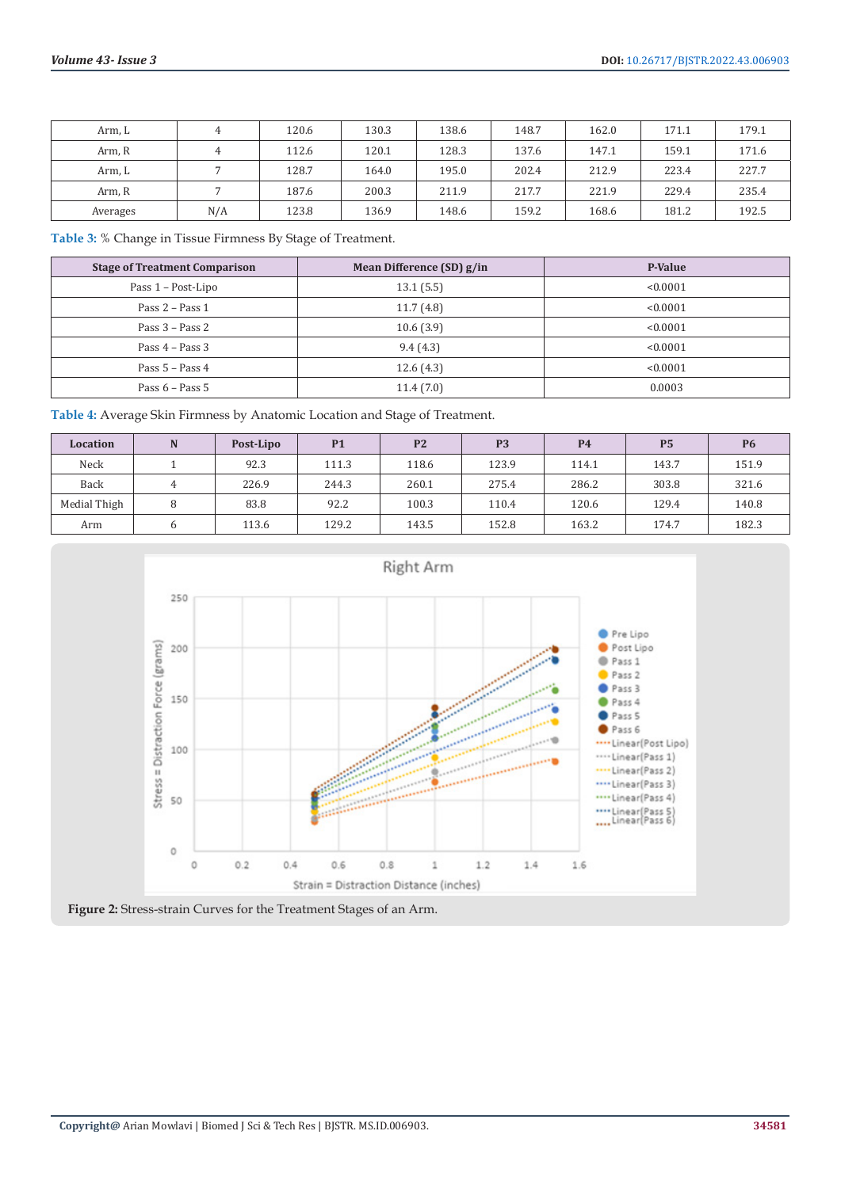| Arm, L   | 4   | 120.6 | 130.3 | 138.6 | 148.7 | 162.0 | 171.1 | 179.1 |
|----------|-----|-------|-------|-------|-------|-------|-------|-------|
| Arm, R   | 4   | 112.6 | 120.1 | 128.3 | 137.6 | 147.1 | 159.1 | 171.6 |
| Arm, L   |     | 128.7 | 164.0 | 195.0 | 202.4 | 212.9 | 223.4 | 227.7 |
| Arm, R   |     | 187.6 | 200.3 | 211.9 | 217.7 | 221.9 | 229.4 | 235.4 |
| Averages | N/A | 123.8 | 136.9 | 148.6 | 159.2 | 168.6 | 181.2 | 192.5 |

**Table 3:** % Change in Tissue Firmness By Stage of Treatment.

| <b>Stage of Treatment Comparison</b> | Mean Difference (SD) g/in | P-Value  |
|--------------------------------------|---------------------------|----------|
| Pass 1 – Post-Lipo                   | 13.1(5.5)                 | < 0.0001 |
| Pass $2 - Pass 1$                    | 11.7(4.8)                 | < 0.0001 |
| Pass $3 - Pass 2$                    | 10.6(3.9)                 | < 0.0001 |
| Pass $4 - Pass 3$                    | 9.4(4.3)                  | < 0.0001 |
| Pass $5 - Pass 4$                    | 12.6(4.3)                 | < 0.0001 |
| Pass $6 - Pass 5$                    | 11.4(7.0)                 | 0.0003   |

| Table 4: Average Skin Firmness by Anatomic Location and Stage of Treatment. |
|-----------------------------------------------------------------------------|
|                                                                             |

| <b>Location</b> | N | Post-Lipo | <b>P1</b> | P <sub>2</sub> | P <sub>3</sub> | <b>P4</b> | <b>P5</b> | <b>P6</b> |
|-----------------|---|-----------|-----------|----------------|----------------|-----------|-----------|-----------|
| Neck            |   | 92.3      | 111.3     | 118.6          | 123.9          | 114.1     | 143.7     | 151.9     |
| Back            |   | 226.9     | 244.3     | 260.1          | 275.4          | 286.2     | 303.8     | 321.6     |
| Medial Thigh    | 8 | 83.8      | 92.2      | 100.3          | 110.4          | 120.6     | 129.4     | 140.8     |
| Arm             |   | 113.6     | 129.2     | 143.5          | 152.8          | 163.2     | 174.7     | 182.3     |



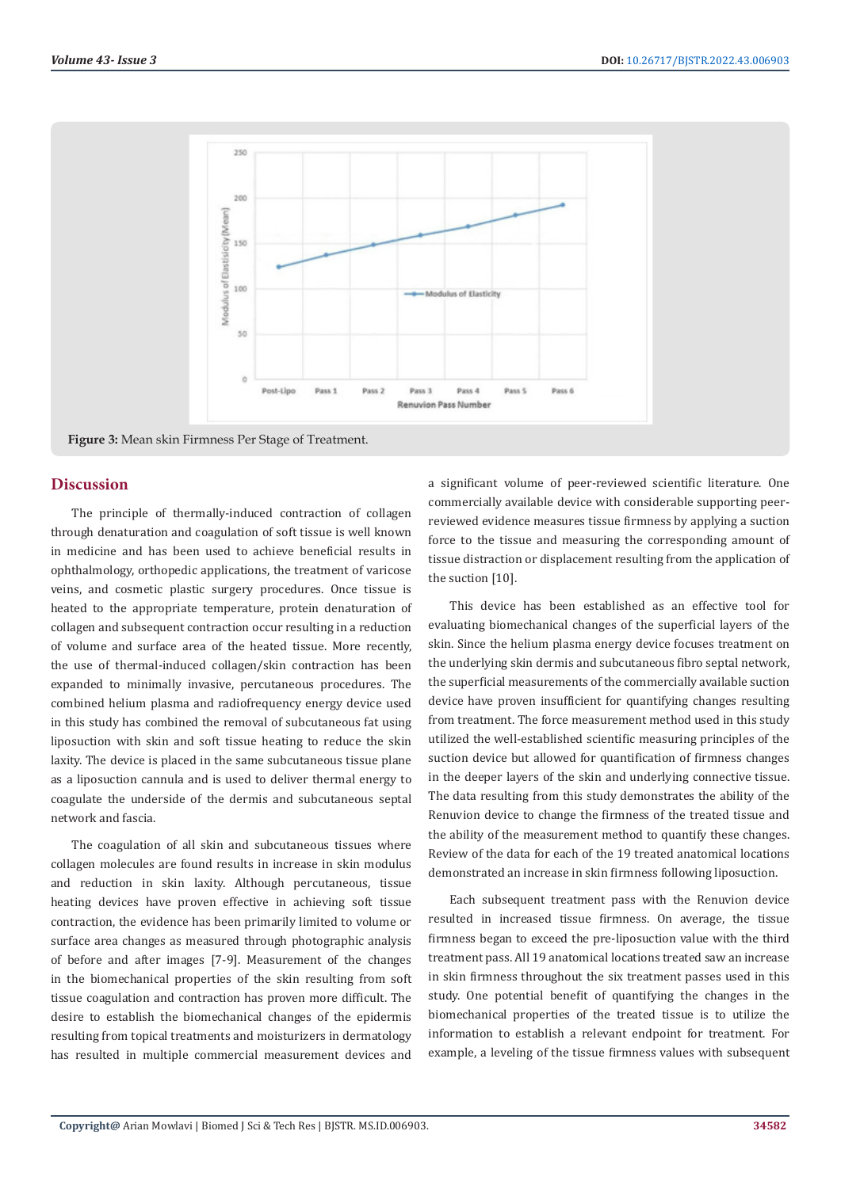

**Figure 3:** Mean skin Firmness Per Stage of Treatment.

### **Discussion**

The principle of thermally-induced contraction of collagen through denaturation and coagulation of soft tissue is well known in medicine and has been used to achieve beneficial results in ophthalmology, orthopedic applications, the treatment of varicose veins, and cosmetic plastic surgery procedures. Once tissue is heated to the appropriate temperature, protein denaturation of collagen and subsequent contraction occur resulting in a reduction of volume and surface area of the heated tissue. More recently, the use of thermal-induced collagen/skin contraction has been expanded to minimally invasive, percutaneous procedures. The combined helium plasma and radiofrequency energy device used in this study has combined the removal of subcutaneous fat using liposuction with skin and soft tissue heating to reduce the skin laxity. The device is placed in the same subcutaneous tissue plane as a liposuction cannula and is used to deliver thermal energy to coagulate the underside of the dermis and subcutaneous septal network and fascia.

The coagulation of all skin and subcutaneous tissues where collagen molecules are found results in increase in skin modulus and reduction in skin laxity. Although percutaneous, tissue heating devices have proven effective in achieving soft tissue contraction, the evidence has been primarily limited to volume or surface area changes as measured through photographic analysis of before and after images [7-9]. Measurement of the changes in the biomechanical properties of the skin resulting from soft tissue coagulation and contraction has proven more difficult. The desire to establish the biomechanical changes of the epidermis resulting from topical treatments and moisturizers in dermatology has resulted in multiple commercial measurement devices and a significant volume of peer-reviewed scientific literature. One commercially available device with considerable supporting peerreviewed evidence measures tissue firmness by applying a suction force to the tissue and measuring the corresponding amount of tissue distraction or displacement resulting from the application of the suction [10].

This device has been established as an effective tool for evaluating biomechanical changes of the superficial layers of the skin. Since the helium plasma energy device focuses treatment on the underlying skin dermis and subcutaneous fibro septal network, the superficial measurements of the commercially available suction device have proven insufficient for quantifying changes resulting from treatment. The force measurement method used in this study utilized the well-established scientific measuring principles of the suction device but allowed for quantification of firmness changes in the deeper layers of the skin and underlying connective tissue. The data resulting from this study demonstrates the ability of the Renuvion device to change the firmness of the treated tissue and the ability of the measurement method to quantify these changes. Review of the data for each of the 19 treated anatomical locations demonstrated an increase in skin firmness following liposuction.

Each subsequent treatment pass with the Renuvion device resulted in increased tissue firmness. On average, the tissue firmness began to exceed the pre-liposuction value with the third treatment pass. All 19 anatomical locations treated saw an increase in skin firmness throughout the six treatment passes used in this study. One potential benefit of quantifying the changes in the biomechanical properties of the treated tissue is to utilize the information to establish a relevant endpoint for treatment. For example, a leveling of the tissue firmness values with subsequent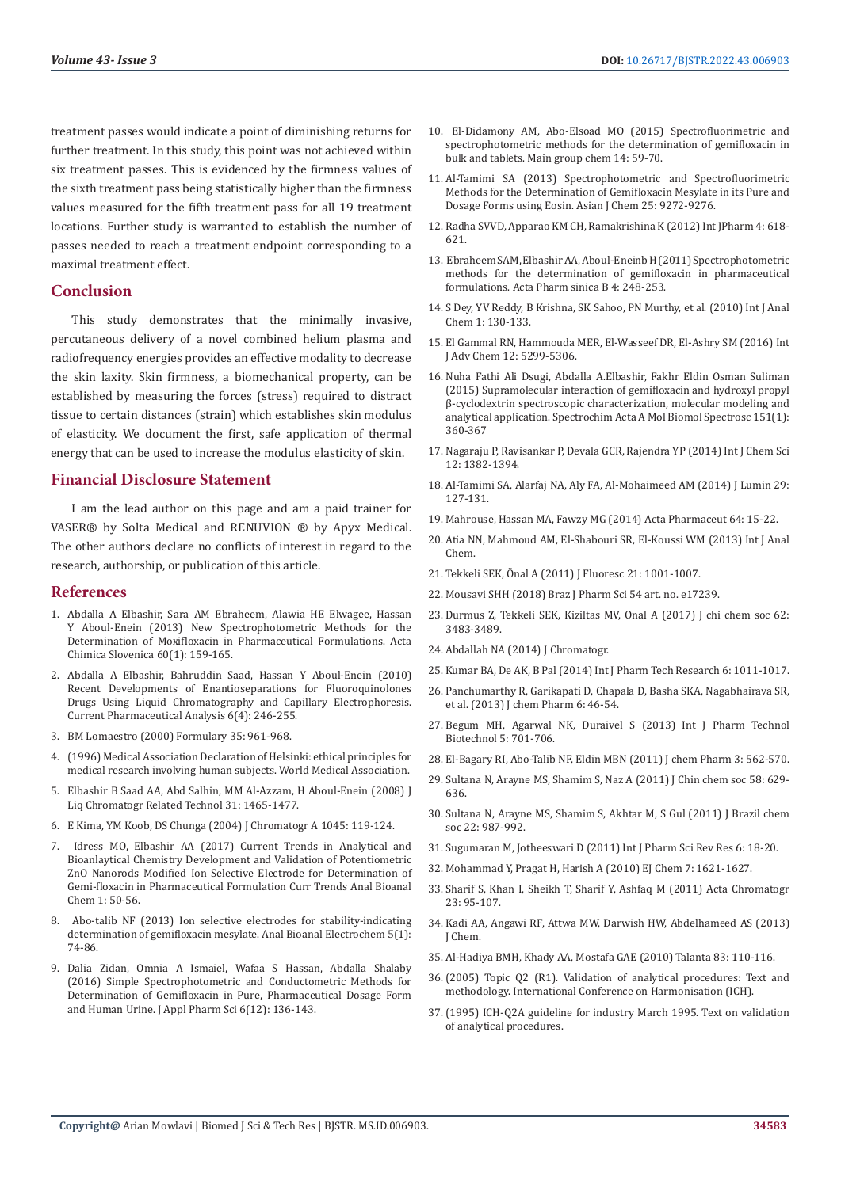treatment passes would indicate a point of diminishing returns for further treatment. In this study, this point was not achieved within six treatment passes. This is evidenced by the firmness values of the sixth treatment pass being statistically higher than the firmness values measured for the fifth treatment pass for all 19 treatment locations. Further study is warranted to establish the number of passes needed to reach a treatment endpoint corresponding to a maximal treatment effect.

#### **Conclusion**

This study demonstrates that the minimally invasive, percutaneous delivery of a novel combined helium plasma and radiofrequency energies provides an effective modality to decrease the skin laxity. Skin firmness, a biomechanical property, can be established by measuring the forces (stress) required to distract tissue to certain distances (strain) which establishes skin modulus of elasticity. We document the first, safe application of thermal energy that can be used to increase the modulus elasticity of skin.

### **Financial Disclosure Statement**

I am the lead author on this page and am a paid trainer for VASER® by Solta Medical and RENUVION ® by Apyx Medical. The other authors declare no conflicts of interest in regard to the research, authorship, or publication of this article.

#### **References**

- 1. [Abdalla A Elbashir, Sara AM Ebraheem, Alawia HE Elwagee, Hassan](http://acta-arhiv.chem-soc.si/60/60-1-159.pdf)  [Y Aboul-Enein \(2013\) New Spectrophotometric Methods for the](http://acta-arhiv.chem-soc.si/60/60-1-159.pdf)  [Determination of Moxifloxacin in Pharmaceutical Formulations. Acta](http://acta-arhiv.chem-soc.si/60/60-1-159.pdf)  [Chimica Slovenica 60\(1\): 159-165.](http://acta-arhiv.chem-soc.si/60/60-1-159.pdf)
- 2. [Abdalla A Elbashir, Bahruddin Saad, Hassan Y Aboul-Enein \(2010\)](http://api.uofk.edu:8080/api/core/bitstreams/3abf51d5-e677-4e78-b8f7-76a82d8483cc/content)  [Recent Developments of Enantioseparations for Fluoroquinolones](http://api.uofk.edu:8080/api/core/bitstreams/3abf51d5-e677-4e78-b8f7-76a82d8483cc/content)  [Drugs Using Liquid Chromatography and Capillary Electrophoresis.](http://api.uofk.edu:8080/api/core/bitstreams/3abf51d5-e677-4e78-b8f7-76a82d8483cc/content)  [Current Pharmaceutical Analysis 6\(4\): 246-255.](http://api.uofk.edu:8080/api/core/bitstreams/3abf51d5-e677-4e78-b8f7-76a82d8483cc/content)
- 3. BM Lomaestro (2000) Formulary 35: 961-968.
- 4. (1996) Medical Association Declaration of Helsinki: ethical principles for medical research involving human subjects. World Medical Association.
- 5. Elbashir B Saad AA, Abd Salhin, MM Al-Azzam, H Aboul-Enein (2008) J Liq Chromatogr Related Technol 31: 1465-1477.
- 6. E Kima, YM Koob, DS Chunga (2004) J Chromatogr A 1045: 119-124.
- Idress MO, Elbashir AA (2017) Current Trends in Analytical and [Bioanlaytical Chemistry Development and Validation of Potentiometric](https://www.researchgate.net/publication/322223481_Current_Trends_in_Analytical_and_Bioanlaytical_Chemistry_Development_and_Validation_of_Potentiometric_ZnO_Nanorods_Modified_Ion_Selective_Electrode_for_Determination_of_Gemi-floxacin_in_Pharmaceutical)  [ZnO Nanorods Modified Ion Selective Electrode for Determination of](https://www.researchgate.net/publication/322223481_Current_Trends_in_Analytical_and_Bioanlaytical_Chemistry_Development_and_Validation_of_Potentiometric_ZnO_Nanorods_Modified_Ion_Selective_Electrode_for_Determination_of_Gemi-floxacin_in_Pharmaceutical)  [Gemi-floxacin in Pharmaceutical Formulation Curr Trends Anal Bioanal](https://www.researchgate.net/publication/322223481_Current_Trends_in_Analytical_and_Bioanlaytical_Chemistry_Development_and_Validation_of_Potentiometric_ZnO_Nanorods_Modified_Ion_Selective_Electrode_for_Determination_of_Gemi-floxacin_in_Pharmaceutical)  [Chem 1: 50-56.](https://www.researchgate.net/publication/322223481_Current_Trends_in_Analytical_and_Bioanlaytical_Chemistry_Development_and_Validation_of_Potentiometric_ZnO_Nanorods_Modified_Ion_Selective_Electrode_for_Determination_of_Gemi-floxacin_in_Pharmaceutical)
- 8. [Abo-talib NF \(2013\) Ion selective electrodes for stability-indicating](https://www.researchgate.net/publication/288426336_Ion_selective_electrodes_for_stability-indicating_determination_of_gemifloxacin_mesylate)  [determination of gemifloxacin mesylate. Anal Bioanal Electrochem 5\(1\):](https://www.researchgate.net/publication/288426336_Ion_selective_electrodes_for_stability-indicating_determination_of_gemifloxacin_mesylate)  [74-86.](https://www.researchgate.net/publication/288426336_Ion_selective_electrodes_for_stability-indicating_determination_of_gemifloxacin_mesylate)
- 9. [Dalia Zidan, Omnia A Ismaiel, Wafaa S Hassan, Abdalla Shalaby](https://www.japsonline.com/abstract.php?article_id=2093)  [\(2016\) Simple Spectrophotometric and Conductometric Methods for](https://www.japsonline.com/abstract.php?article_id=2093)  [Determination of Gemifloxacin in Pure, Pharmaceutical Dosage Form](https://www.japsonline.com/abstract.php?article_id=2093)  [and Human Urine. J Appl Pharm Sci 6\(12\): 136-143.](https://www.japsonline.com/abstract.php?article_id=2093)
- 10. [El-Didamony AM, Abo-Elsoad MO \(2015\) Spectrofluorimetric and](https://www.researchgate.net/publication/279110939_Spectrofluorimetric_and_spectrophotometric_methods_for_the_determination_of_gemifloxacin_in_bulk_and_tablets) [spectrophotometric methods for the determination of gemifloxacin in](https://www.researchgate.net/publication/279110939_Spectrofluorimetric_and_spectrophotometric_methods_for_the_determination_of_gemifloxacin_in_bulk_and_tablets) [bulk and tablets. Main group chem 14: 59-70.](https://www.researchgate.net/publication/279110939_Spectrofluorimetric_and_spectrophotometric_methods_for_the_determination_of_gemifloxacin_in_bulk_and_tablets)
- 11. [Al-Tamimi SA \(2013\) Spectrophotometric and Spectrofluorimetric](https://www.researchgate.net/publication/288705109_Spectrophotometric_and_Spectrofluorimetric_Methods_for_the_Determination_of_Gemifloxacin_Mesylate_in_its_Pure_and_Dosage_Forms_using_Eosin) [Methods for the Determination of Gemifloxacin Mesylate in its Pure and](https://www.researchgate.net/publication/288705109_Spectrophotometric_and_Spectrofluorimetric_Methods_for_the_Determination_of_Gemifloxacin_Mesylate_in_its_Pure_and_Dosage_Forms_using_Eosin) [Dosage Forms using Eosin. Asian J Chem 25: 9272-9276.](https://www.researchgate.net/publication/288705109_Spectrophotometric_and_Spectrofluorimetric_Methods_for_the_Determination_of_Gemifloxacin_Mesylate_in_its_Pure_and_Dosage_Forms_using_Eosin)
- 12. Radha SVVD, Apparao KM CH, Ramakrishina K (2012) Int JPharm 4: 618- 621.
- 13. [Ebraheem SAM, Elbashir AA, Aboul-Eneinb H \(2011\) Spectrophotometric](https://www.sciencedirect.com/science/article/pii/S2211383511000852) [methods for the determination of gemifloxacin in pharmaceutical](https://www.sciencedirect.com/science/article/pii/S2211383511000852) [formulations. Acta Pharm sinica B 4: 248-253.](https://www.sciencedirect.com/science/article/pii/S2211383511000852)
- 14. S Dey, YV Reddy, B Krishna, SK Sahoo, PN Murthy, et al. (2010) Int J Anal Chem 1: 130-133.
- 15. El Gammal RN, Hammouda MER, El-Wasseef DR, El-Ashry SM (2016) Int J Adv Chem 12: 5299-5306.
- 16. [Nuha Fathi Ali Dsugi, Abdalla A.Elbashir, Fakhr Eldin Osman Suliman](https://www.sciencedirect.com/science/article/abs/pii/S1386142515007465) [\(2015\) Supramolecular interaction of gemifloxacin and hydroxyl propyl](https://www.sciencedirect.com/science/article/abs/pii/S1386142515007465) [β-cyclodextrin spectroscopic characterization, molecular modeling and](https://www.sciencedirect.com/science/article/abs/pii/S1386142515007465) [analytical application. Spectrochim Acta A Mol Biomol Spectrosc 151\(1\):](https://www.sciencedirect.com/science/article/abs/pii/S1386142515007465) [360-367](https://www.sciencedirect.com/science/article/abs/pii/S1386142515007465)
- 17. Nagaraju P, Ravisankar P, Devala GCR, Rajendra YP (2014) Int J Chem Sci 12: 1382-1394.
- 18. Al-Tamimi SA, Alarfaj NA, Aly FA, Al-Mohaimeed AM (2014) J Lumin 29: 127-131.
- 19. Mahrouse, Hassan MA, Fawzy MG (2014) Acta Pharmaceut 64: 15-22.
- 20. Atia NN, Mahmoud AM, El-Shabouri SR, El-Koussi WM (2013) Int J Anal Chem.
- 21. Tekkeli SEK, Önal A (2011) J Fluoresc 21: 1001-1007.
- 22. Mousavi SHH (2018) Braz J Pharm Sci 54 art. no. e17239.
- 23. Durmus Z, Tekkeli SEK, Kiziltas MV, Onal A (2017) J chi chem soc 62: 3483-3489.
- 24. Abdallah NA (2014) J Chromatogr.
- 25. Kumar BA, De AK, B Pal (2014) Int J Pharm Tech Research 6: 1011-1017.
- 26. Panchumarthy R, Garikapati D, Chapala D, Basha SKA, Nagabhairava SR, et al. (2013) J chem Pharm 6: 46-54.
- 27. Begum MH, Agarwal NK, Duraivel S (2013) Int J Pharm Technol Biotechnol 5: 701-706.
- 28. El-Bagary RI, Abo-Talib NF, Eldin MBN (2011) J chem Pharm 3: 562-570.
- 29. Sultana N, Arayne MS, Shamim S, Naz A (2011) J Chin chem soc 58: 629- 636.
- 30. Sultana N, Arayne MS, Shamim S, Akhtar M, S Gul (2011) J Brazil chem soc 22: 987-992.
- 31. Sugumaran M, Jotheeswari D (2011) Int J Pharm Sci Rev Res 6: 18-20.
- 32. Mohammad Y, Pragat H, Harish A (2010) EJ Chem 7: 1621-1627.
- 33. Sharif S, Khan I, Sheikh T, Sharif Y, Ashfaq M (2011) Acta Chromatogr 23: 95-107.
- 34. Kadi AA, Angawi RF, Attwa MW, Darwish HW, Abdelhameed AS (2013) J Chem.
- 35. Al-Hadiya BMH, Khady AA, Mostafa GAE (2010) Talanta 83: 110-116.
- 36.(2005) Topic Q2 (R1). Validation of analytical procedures: Text and methodology. International Conference on Harmonisation (ICH).
- 37.(1995) ICH-Q2A guideline for industry March 1995. Text on validation of analytical procedures.